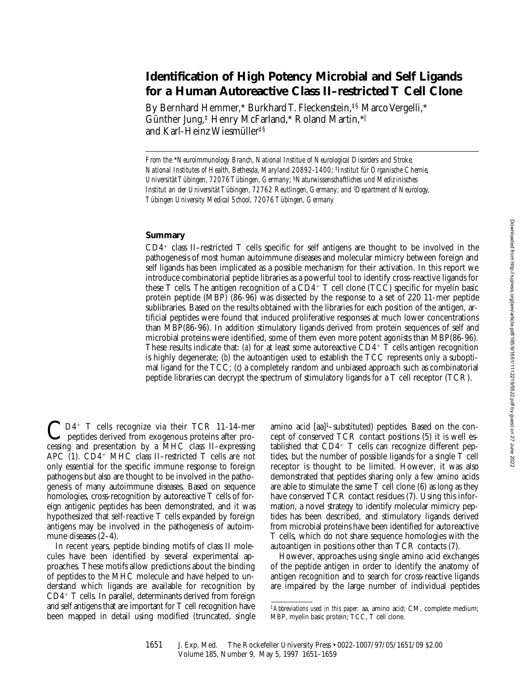# **Identification of High Potency Microbial and Self Ligands for a Human Autoreactive Class II–restricted T Cell Clone**

By Bernhard Hemmer,\* Burkhard T. Fleckenstein,‡§ Marco Vergelli,\* Günther Jung,‡ Henry McFarland,\* Roland Martin,\*<sup>i</sup> and Karl-Heinz Wiesmüller‡§

*From the* \**Neuroimmunology Branch, National Institue of Neurological Disorders and Stroke, National Institutes of Health, Bethesda, Maryland 20892-1400;* ‡*Institut für Organische Chemie, Universität Tübingen, 72076 Tübingen, Germany;* §*Naturwissenschaftliches und Medizinisches Institut an der Universität Tübingen, 72762 Reutlingen, Germany; and* <sup>i</sup> *Department of Neurology, Tübingen University Medical School, 72076 Tübingen, Germany*

## **Summary**

 $CD4<sup>+</sup>$  class II–restricted T cells specific for self antigens are thought to be involved in the pathogenesis of most human autoimmune diseases and molecular mimicry between foreign and self ligands has been implicated as a possible mechanism for their activation. In this report we introduce combinatorial peptide libraries as a powerful tool to identify cross-reactive ligands for these T cells. The antigen recognition of a  $CD4^+$  T cell clone (TCC) specific for myelin basic protein peptide (MBP) (86-96) was dissected by the response to a set of 220 11-mer peptide sublibraries. Based on the results obtained with the libraries for each position of the antigen, artificial peptides were found that induced proliferative responses at much lower concentrations than MBP(86-96). In addition stimulatory ligands derived from protein sequences of self and microbial proteins were identified, some of them even more potent agonists than MBP(86-96). These results indicate that: (*a*) for at least some autoreactive  $\overline{CD4}^+$  T cells antigen recognition is highly degenerate; (*b*) the autoantigen used to establish the TCC represents only a suboptimal ligand for the TCC; (*c*) a completely random and unbiased approach such as combinatorial peptide libraries can decrypt the spectrum of stimulatory ligands for a T cell receptor (TCR).

 $\mathbf{Q}_{D4}$  T cells recognize via their TCR 11-14-mer  $\prime$  peptides derived from exogenous proteins after processing and presentation by a MHC class II–expressing APC (1).  $CD4^+$  MHC class II–restricted T cells are not only essential for the specific immune response to foreign pathogens but also are thought to be involved in the pathogenesis of many autoimmune diseases. Based on sequence homologies, cross-recognition by autoreactive T cells of foreign antigenic peptides has been demonstrated, and it was hypothesized that self-reactive T cells expanded by foreign antigens may be involved in the pathogenesis of autoimmune diseases (2–4).

In recent years, peptide binding motifs of class II molecules have been identified by several experimental approaches. These motifs allow predictions about the binding of peptides to the MHC molecule and have helped to understand which ligands are available for recognition by  $CD4+T$  cells. In parallel, determinants derived from foreign and self antigens that are important for T cell recognition have been mapped in detail using modified (truncated, single

amino acid [aa]1–substituted) peptides. Based on the concept of conserved TCR contact positions (5) it is well established that  $CD4^+$  T cells can recognize different peptides, but the number of possible ligands for a single T cell receptor is thought to be limited. However, it was also demonstrated that peptides sharing only a few amino acids are able to stimulate the same  $T$  cell clone  $(6)$  as long as they have conserved TCR contact residues (7). Using this information, a novel strategy to identify molecular mimicry peptides has been described, and stimulatory ligands derived from microbial proteins have been identified for autoreactive T cells, which do not share sequence homologies with the autoantigen in positions other than TCR contacts (7).

However, approaches using single amino acid exchanges of the peptide antigen in order to identify the anatomy of antigen recognition and to search for cross-reactive ligands are impaired by the large number of individual peptides

<sup>&</sup>lt;sup>1</sup>Abbreviations used in this paper: aa, amino acid; CM, complete medium; MBP, myelin basic protein; TCC, T cell clone.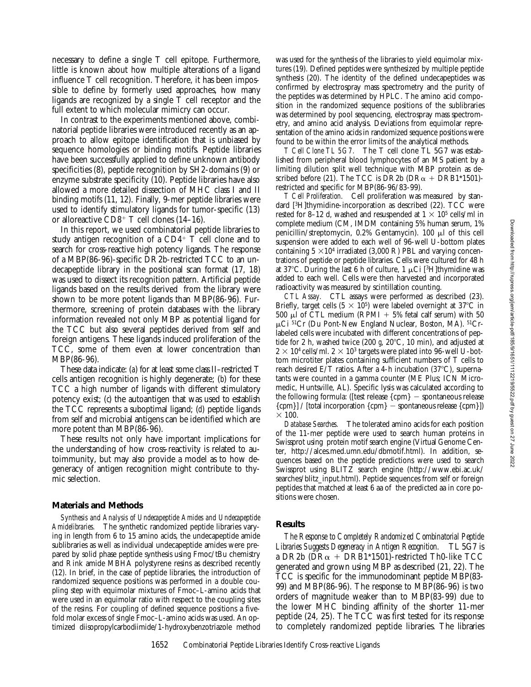necessary to define a single T cell epitope. Furthermore, little is known about how multiple alterations of a ligand influence T cell recognition. Therefore, it has been impossible to define by formerly used approaches, how many ligands are recognized by a single T cell receptor and the full extent to which molecular mimicry can occur.

In contrast to the experiments mentioned above, combinatorial peptide libraries were introduced recently as an approach to allow epitope identification that is unbiased by sequence homologies or binding motifs. Peptide libraries have been successfully applied to define unknown antibody specificities (8), peptide recognition by SH2-domains (9) or enzyme substrate specificity (10). Peptide libraries have also allowed a more detailed dissection of MHC class I and II binding motifs (11, 12). Finally, 9-mer peptide libraries were used to identify stimulatory ligands for tumor-specific (13) or alloreactive  $CD8^+$  T cell clones (14–16).

In this report, we used combinatorial peptide libraries to study antigen recognition of a  $CD4^+$  T cell clone and to search for cross-reactive high potency ligands. The response of a MBP(86-96)-specific DR2b-restricted TCC to an undecapeptide library in the positional scan format (17, 18) was used to dissect its recognition pattern. Artificial peptide ligands based on the results derived from the library were shown to be more potent ligands than MBP(86-96). Furthermore, screening of protein databases with the library information revealed not only MBP as potential ligand for the TCC but also several peptides derived from self and foreign antigens. These ligands induced proliferation of the TCC, some of them even at lower concentration than MBP(86-96).

These data indicate: (*a*) for at least some class II–restricted T cells antigen recognition is highly degenerate; (*b*) for these TCC a high number of ligands with different stimulatory potency exist; (*c*) the autoantigen that was used to establish the TCC represents a suboptimal ligand; (*d*) peptide ligands from self and microbial antigens can be identified which are more potent than MBP(86-96).

These results not only have important implications for the understanding of how cross-reactivity is related to autoimmunity, but may also provide a model as to how degeneracy of antigen recognition might contribute to thymic selection.

#### **Materials and Methods**

*Synthesis and Analysis of Undecapeptide Amides and Undecapeptide Amidelibraries.* The synthetic randomized peptide libraries varying in length from 6 to 15 amino acids, the undecapeptide amide sublibraries as well as individual undecapeptide amides were prepared by solid phase peptide synthesis using Fmoc/tBu chemistry and Rink amide MBHA polystyrene resins as described recently (12). In brief, in the case of peptide libraries, the introduction of randomized sequence positions was performed in a double coupling step with equimolar mixtures of Fmoc–L-amino acids that were used in an equimolar ratio with respect to the coupling sites of the resins. For coupling of defined sequence positions a fivefold molar excess of single Fmoc–L-amino acids was used. An optimized diisopropylcarbodiimide/1-hydroxybenzotriazole method

was used for the synthesis of the libraries to vield equimolar mixtures (19). Defined peptides were synthesized by multiple peptide synthesis (20). The identity of the defined undecapeptides was confirmed by electrospray mass spectrometry and the purity of the peptides was determined by HPLC. The amino acid composition in the randomized sequence positions of the sublibraries was determined by pool sequencing, electrospray mass spectrometry, and amino acid analysis. Deviations from equimolar representation of the amino acids in randomized sequence positions were found to be within the error limits of the analytical methods.

*T Cell Clone TL 5G7.* The T cell clone TL 5G7 was established from peripheral blood lymphocytes of an MS patient by a limiting dilution split well technique with MBP protein as described before (21). The TCC is DR2b (DR $\alpha$  + DRB1\*1501)restricted and specific for MBP(86-96/83-99).

*T Cell Proliferation.* Cell proliferation was measured by standard [3H]thymidine-incorporation as described (22). TCC were rested for 8–12 d, washed and resuspended at  $1 \times 10^5$  cells/ml in complete medium (CM, IMDM containing 5% human serum, 1% penicillin/streptomycin,  $0.2\%$  Gentamycin). 100  $\mu$ l of this cell suspension were added to each well of 96-well U-bottom plates containing  $5 \times 10^4$  irradiated (3,000 R) PBL and varying concentrations of peptide or peptide libraries. Cells were cultured for 48 h at 37 $^{\circ}$ C. During the last 6 h of culture, 1  $\mu$ Ci [<sup>3</sup>H]thymidine was added to each well. Cells were then harvested and incorporated radioactivity was measured by scintillation counting.

*CTL Assay.* CTL assays were performed as described (23). Briefly, target cells (5  $\times$  10<sup>5</sup>) were labeled overnight at 37°C in 500  $\mu$ l of CTL medium (RPMI + 5% fetal calf serum) with 50 µCi <sup>51</sup>Cr (Du Pont-New England Nuclear, Boston, MA). <sup>51</sup>Crlabeled cells were incubated with different concentrations of peptide for 2 h, washed twice  $(200 g, 20^{\circ}C, 10 min)$ , and adjusted at  $2 \times 10^4$  cells/ml.  $2 \times 10^3$  targets were plated into 96-well U-bottom microtiter plates containing sufficient numbers of T cells to reach desired E/T ratios. After a 4-h incubation (37°C), supernatants were counted in a gamma counter (ME Plus; ICN Micromedic, Huntsville, AL). Specific lysis was calculated according to the following formula: ([test release  $\{cpm\}$  – spontaneous release  ${cmp}$  / [total incorporation  ${cmp}$  - spontaneous release  ${cmp}$ ])  $\times$  100.

*Database Searches.* The tolerated amino acids for each position of the 11-mer peptide were used to search human proteins in Swissprot using protein motif search engine (Virtual Genome Center, http://alces.med.umn.edu/dbmotif.html). In addition, sequences based on the peptide predictions were used to search Swissprot using BLITZ search engine (http://www.ebi.ac.uk/ searches/blitz\_input.html). Peptide sequences from self or foreign peptides that matched at least 6 aa of the predicted aa in core positions were chosen.

#### **Results**

*The Response to Completely Randomized Combinatorial Peptide Libraries Suggests Degeneracy in Antigen Recognition.* TL 5G7 is a DR2b ( $\overline{DR}\alpha$  + DRB1\*1501)-restricted Th0-like TCC generated and grown using MBP as described (21, 22). The TCC is specific for the immunodominant peptide MBP(83- 99) and MBP(86-96). The response to MBP(86-96) is two orders of magnitude weaker than to MBP(83-99) due to the lower MHC binding affinity of the shorter 11-mer peptide (24, 25). The TCC was first tested for its response to completely randomized peptide libraries. The libraries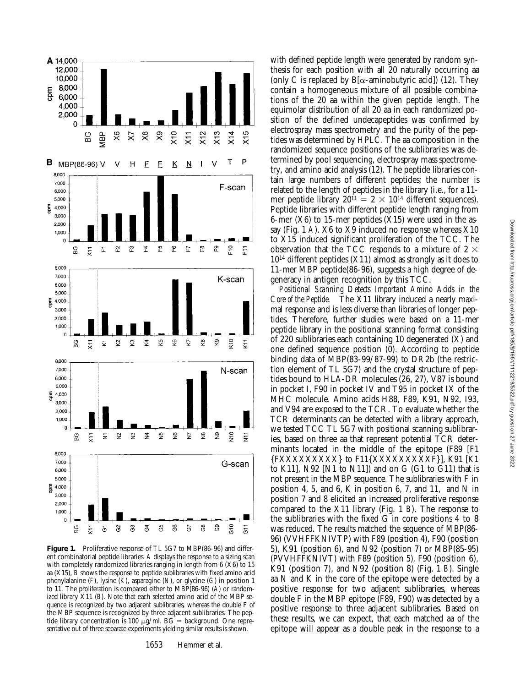

Figure 1. Proliferative response of TL 5G7 to MBP(86-96) and different combinatorial peptide libraries. *A* displays the response to a sizing scan with completely randomized libraries ranging in length from 6 (X6) to 15 aa (X15), *B* shows the response to peptide sublibraries with fixed amino acid phenylalanine (*F*), lysine (*K*), asparagine (*N*), or glycine (*G*) in position 1 to 11. The proliferation is compared either to MBP(86-96) (*A*) or randomized library X11 (*B*). Note that each selected amino acid of the MBP sequence is recognized by two adjacent sublibraries, whereas the double F of the MBP sequence is recognized by three adjacent sublibraries. The peptide library concentration is 100  $\mu$ g/ml. BG = background. One representative out of three separate experiments yielding similar results is shown.

with defined peptide length were generated by random synthesis for each position with all 20 naturally occurring aa (only C is replaced by  $B[\alpha$ -aminobutyric acid]) (12). They contain a homogeneous mixture of all possible combinations of the 20 aa within the given peptide length. The equimolar distribution of all 20 aa in each randomized position of the defined undecapeptides was confirmed by electrospray mass spectrometry and the purity of the peptides was determined by HPLC. The aa composition in the randomized sequence positions of the sublibraries was determined by pool sequencing, electrospray mass spectrometry, and amino acid analysis (12). The peptide libraries contain large numbers of different peptides; the number is related to the length of peptides in the library (i.e., for a 11 mer peptide library  $20^{11} = 2 \times 10^{14}$  different sequences). Peptide libraries with different peptide length ranging from 6-mer  $(X6)$  to 15-mer peptides  $(X15)$  were used in the assay (Fig. 1 *A*). X6 to X9 induced no response whereas X10 to X15 induced significant proliferation of the TCC. The observation that the TCC responds to a mixture of  $2 \times$  $10^{14}$  different peptides (X11) almost as strongly as it does to 11-mer MBP peptide(86-96), suggests a high degree of degeneracy in antigen recognition by this TCC.

*Positional Scanning Detects Important Amino Acids in the Core of the Peptide.* The X11 library induced a nearly maximal response and is less diverse than libraries of longer peptides. Therefore, further studies were based on a 11-mer peptide library in the positional scanning format consisting of 220 sublibraries each containing 10 degenerated (X) and one defined sequence position (0). According to peptide binding data of MBP(83-99/87-99) to DR2b (the restriction element of TL 5G7) and the crystal structure of peptides bound to HLA-DR molecules (26, 27), V87 is bound in pocket I, F90 in pocket IV and T95 in pocket IX of the MHC molecule. Amino acids H88, F89, K91, N92, I93, and V94 are exposed to the TCR. To evaluate whether the TCR determinants can be detected with a library approach, we tested TCC TL 5G7 with positional scanning sublibraries, based on three aa that represent potential TCR determinants located in the middle of the epitope (F89 [F1  ${FXXXXXXX}$  to  $F11{XXXXXXXX}$ }, K91 [K1] to K11], N92 [N1 to N11]) and on G (G1 to G11) that is not present in the MBP sequence. The sublibraries with F in position 4, 5, and 6, K in position 6, 7, and 11, and N in position 7 and 8 elicited an increased proliferative response compared to the X11 library (Fig. 1 *B*). The response to the sublibraries with the fixed G in core positions 4 to 8 was reduced. The results matched the sequence of MBP(86- 96) (VVHFFKNIVTP) with F89 (position 4), F90 (position 5), K91 (position 6), and N92 (position 7) or MBP(85-95) (PVVHFFKNIVT) with F89 (position 5), F90 (position 6), K91 (position 7), and N92 (position 8) (Fig. 1 *B*). Single aa N and K in the core of the epitope were detected by a positive response for two adjacent sublibraries, whereas double F in the MBP epitope (F89, F90) was detected by a positive response to three adjacent sublibraries. Based on these results, we can expect, that each matched aa of the epitope will appear as a double peak in the response to a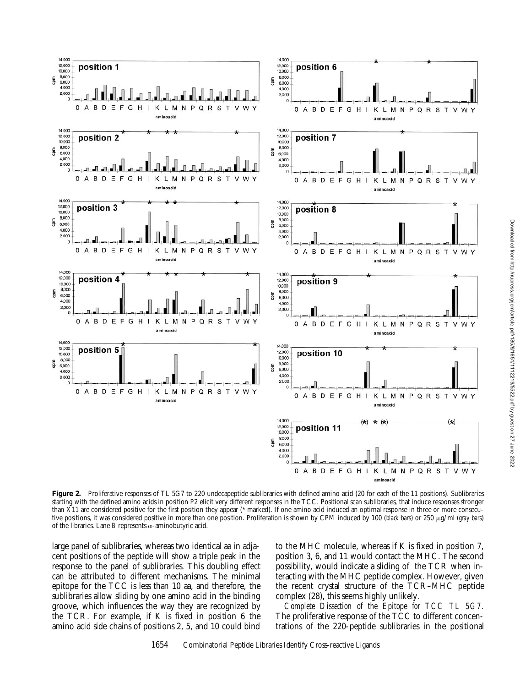

Downloaded from http://rupress.org/jem/article-pdf/185/9/1651/1112219/5522.pdf by guest on 27 June 2022 Downloaded from http://rupress.org/jem/article-pdf/185/9/1651/1112219/5522.pdf by guest on 27 June 2022

Figure 2. Proliferative responses of TL 5G7 to 220 undecapeptide sublibraries with defined amino acid (20 for each of the 11 positions). Sublibraries starting with the defined amino acids in position P2 elicit very different responses in the TCC. Positional scan sublibraries, that induce responses stronger than X11 are considered positive for the first position they appear (\* marked). If one amino acid induced an optimal response in three or more consecutive positions, it was considered positive in more than one position. Proliferation is shown by CPM induced by 100 (*black bars*) or 250 µg/ml (*gray bars*) of the libraries. Lane  $B$  represents  $\alpha$ -aminobutyric acid.

large panel of sublibraries, whereas two identical aa in adjacent positions of the peptide will show a triple peak in the response to the panel of sublibraries. This doubling effect can be attributed to different mechanisms. The minimal epitope for the TCC is less than 10 aa, and therefore, the sublibraries allow sliding by one amino acid in the binding groove, which influences the way they are recognized by the TCR. For example, if K is fixed in position 6 the amino acid side chains of positions 2, 5, and 10 could bind

to the MHC molecule, whereas if K is fixed in position 7, position 3, 6, and 11 would contact the MHC. The second possibility, would indicate a sliding of the TCR when interacting with the MHC peptide complex. However, given the recent crystal structure of the TCR–MHC peptide complex (28), this seems highly unlikely.

*Complete Dissection of the Epitope for TCC TL 5G7.* The proliferative response of the TCC to different concentrations of the 220-peptide sublibraries in the positional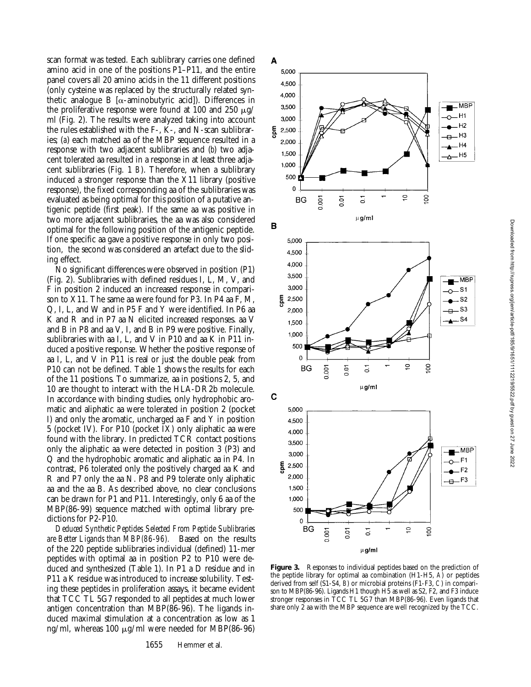scan format was tested. Each sublibrary carries one defined amino acid in one of the positions P1–P11, and the entire panel covers all 20 amino acids in the 11 different positions (only cysteine was replaced by the structurally related synthetic analogue B [ $\alpha$ -aminobutyric acid]). Differences in the proliferative response were found at 100 and 250  $\mu$ g/ ml (Fig. 2). The results were analyzed taking into account the rules established with the F-, K-, and N-scan sublibraries; (*a*) each matched aa of the MBP sequence resulted in a response with two adjacent sublibraries and (*b*) two adjacent tolerated aa resulted in a response in at least three adjacent sublibraries (Fig. 1 *B*). Therefore, when a sublibrary induced a stronger response than the X11 library (positive response), the fixed corresponding aa of the sublibraries was evaluated as being optimal for this position of a putative antigenic peptide (first peak). If the same aa was positive in two more adjacent sublibraries, the aa was also considered optimal for the following position of the antigenic peptide. If one specific aa gave a positive response in only two position, the second was considered an artefact due to the sliding effect.

No significant differences were observed in position (P1) (Fig. 2). Sublibraries with defined residues I, L, M, V, and F in position 2 induced an increased response in comparison to X11. The same aa were found for P3. In P4 aa F, M, Q, I, L, and W and in P5 F and Y were identified. In P6 aa K and R and in P7 aa N elicited increased responses. aa V and B in P8 and aa V, I, and B in P9 were positive. Finally, sublibraries with aa I, L, and V in P10 and aa K in P11 induced a positive response. Whether the positive response of aa I, L, and V in P11 is real or just the double peak from P10 can not be defined. Table 1 shows the results for each of the 11 positions. To summarize, aa in positions 2, 5, and 10 are thought to interact with the HLA-DR2b molecule. In accordance with binding studies, only hydrophobic aromatic and aliphatic aa were tolerated in position 2 (pocket I) and only the aromatic, uncharged aa F and Y in position 5 (pocket IV). For P10 (pocket IX) only aliphatic aa were found with the library. In predicted TCR contact positions only the aliphatic aa were detected in position 3 (P3) and Q and the hydrophobic aromatic and aliphatic aa in P4. In contrast, P6 tolerated only the positively charged aa K and R and P7 only the aa N. P8 and P9 tolerate only aliphatic aa and the aa B. As described above, no clear conclusions can be drawn for P1 and P11. Interestingly, only 6 aa of the MBP(86-99) sequence matched with optimal library predictions for P2-P10.

*Deduced Synthetic Peptides Selected From Peptide Sublibraries are Better Ligands than MBP(86-96).* Based on the results of the 220 peptide sublibraries individual (defined) 11-mer peptides with optimal aa in position P2 to P10 were deduced and synthesized (Table 1). In P1 a D residue and in P11 a K residue was introduced to increase solubility. Testing these peptides in proliferation assays, it became evident that TCC TL 5G7 responded to all peptides at much lower antigen concentration than MBP(86-96). The ligands induced maximal stimulation at a concentration as low as 1 ng/ml, whereas 100  $\mu$ g/ml were needed for MBP(86-96)



**Figure 3.** Responses to individual peptides based on the prediction of the peptide library for optimal aa combination (H1-H5, *A*) or peptides derived from self (S1-S4, *B*) or microbial proteins (F1-F3, *C*) in comparison to MBP(86-96). Ligands H1 though H5 as well as S2, F2, and F3 induce stronger responses in TCC TL 5G7 than MBP(86-96). Even ligands that share only 2 aa with the MBP sequence are well recognized by the TCC.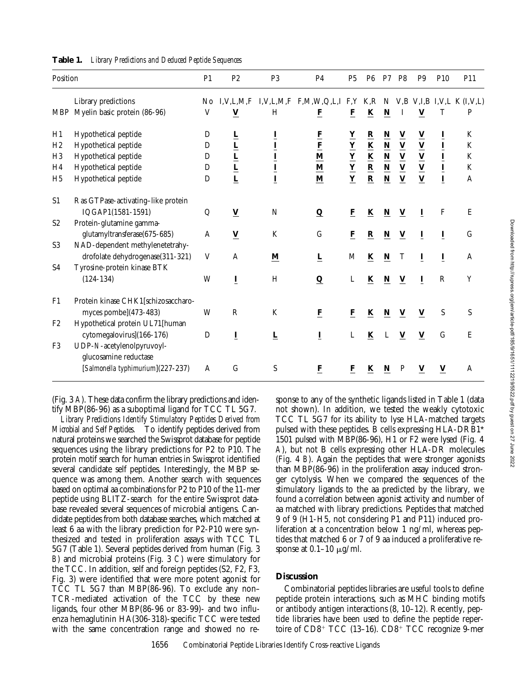| Position                                                                   |                                                                                                                      | P <sub>1</sub>        | P <sub>2</sub>                                                                                                                                      | P <sub>3</sub>                                                             | P <sub>4</sub>                                                                                                      | P <sub>5</sub>                                    | P <sub>6</sub>                                                                          | P7                                                                                      | P8                                                                                      | P <sub>9</sub>                                                                              | P <sub>10</sub>                                | P <sub>11</sub>                  |
|----------------------------------------------------------------------------|----------------------------------------------------------------------------------------------------------------------|-----------------------|-----------------------------------------------------------------------------------------------------------------------------------------------------|----------------------------------------------------------------------------|---------------------------------------------------------------------------------------------------------------------|---------------------------------------------------|-----------------------------------------------------------------------------------------|-----------------------------------------------------------------------------------------|-----------------------------------------------------------------------------------------|---------------------------------------------------------------------------------------------|------------------------------------------------|----------------------------------|
| <b>MBP</b>                                                                 | Library predictions<br>Myelin basic protein (86-96)                                                                  | N <sub>0</sub><br>V   | I, V, L, M, F<br>$\underline{\mathbf{V}}$                                                                                                           | H                                                                          | $\text{I,V,L,M,F}$ F,M,W,Q,L,I F,Y K,R<br>$\overline{\mathbf{F}}$                                                   | $\mathbf{F}$                                      | K                                                                                       | N<br>N                                                                                  | 1                                                                                       | V                                                                                           | T                                              | $V,B$ V,I,B I,V,L K (I,V,L)<br>P |
| H1<br>H <sub>2</sub><br>H <sub>3</sub><br>H <sub>4</sub><br>H <sub>5</sub> | Hypothetical peptide<br>Hypothetical peptide<br>Hypothetical peptide<br>Hypothetical peptide<br>Hypothetical peptide | D<br>D<br>D<br>D<br>D | $\overline{\mathsf{r}}$<br>$\underline{\mathbf{L}}$<br>$\underline{\mathbf{L}}$<br>$\underline{\mathbf{L}}$<br>$\underline{\underline{\mathbf{L}}}$ | $\frac{1}{1}$<br>$\underline{\mathbf{I}}$<br>Ī<br>$\underline{\mathbf{I}}$ | $\frac{\mathbf{F}}{\mathbf{F}}$<br>$\underline{\mathbf{M}}$<br>$\underline{\mathbf{M}}$<br>$\underline{\mathbf{M}}$ | $\underline{Y}$<br>$\frac{Y}{Y}$<br>$\frac{Y}{Y}$ | $\underline{\mathbf{R}}$<br>$\frac{\mathbf{K}}{\mathbf{R}}$<br>$\underline{\mathbf{R}}$ | $\underline{\mathbf{N}}$<br>$\frac{\mathbf{N}}{\mathbf{N}}$<br>$\underline{\mathbf{N}}$ | $\underline{\mathbf{v}}$<br>$\frac{\mathbf{V}}{\mathbf{V}}$<br>$\underline{\mathbf{V}}$ | $\underline{\mathbf{V}}$<br>$\frac{\mathbf{V}}{\mathbf{V}}$ $\frac{\mathbf{V}}{\mathbf{V}}$ | Ī<br>$\frac{I}{I}$<br>$\underline{\mathbf{I}}$ | K<br>K<br>$\rm K$<br>K<br>A      |
| S <sub>1</sub><br>S <sub>2</sub>                                           | Ras GTPase-activating-like protein<br>IQGAP1(1581-1591)<br>Protein-glutamine gamma-                                  | Q                     | $\underline{\mathbf{V}}$                                                                                                                            | $\mathbb N$                                                                | $\mathbf{Q}$                                                                                                        | $\mathbf{F}$                                      | K                                                                                       | N                                                                                       | $\mathbf{V}$                                                                            | $\bf{I}$                                                                                    | $\rm F$                                        | E                                |
| S <sub>3</sub>                                                             | glutamyltransferase(675-685)<br>NAD-dependent methylenetetrahy-                                                      | A                     | $\underline{\mathbf{V}}$                                                                                                                            | K                                                                          | G                                                                                                                   | $\mathbf{F}$                                      | $\bf R$                                                                                 | N                                                                                       | $\underline{\mathbf{V}}$                                                                | $\overline{1}$                                                                              | $\overline{1}$                                 | G                                |
| S <sub>4</sub>                                                             | drofolate dehydrogenase(311-321)<br>Tyrosine-protein kinase BTK<br>$(124-134)$                                       | V<br>W                | A<br>Ī                                                                                                                                              | M<br>H                                                                     | $\underline{\mathbf{L}}$<br>$\mathbf{Q}$                                                                            | M<br>L                                            | K<br>K                                                                                  | $\underline{\mathbf{N}}$<br>N                                                           | T<br>$\mathbf{V}$                                                                       | $\overline{1}$<br>$\overline{I}$                                                            | $\underline{\mathbf{I}}$<br>${\mathbf R}$      | Α<br>Y                           |
| F1                                                                         | Protein kinase CHK1 [schizosaccharo-<br>myces pombe](473-483)                                                        | W                     | $\mathsf{R}$                                                                                                                                        | $\mathbf K$                                                                | $\mathbf{F}$                                                                                                        | $\mathbf{F}$                                      | K                                                                                       | N                                                                                       | $\mathbf{V}$                                                                            | $\mathbf V$                                                                                 | S                                              | S                                |
| F <sub>2</sub><br>F <sub>3</sub>                                           | Hypothetical protein UL71[human<br>cytomegalovirus](166-176)<br>UDP-N-acetylenolpyruvoyl-                            | D                     | Ī                                                                                                                                                   | $\underline{\mathbf{L}}$                                                   | $\underline{\mathbf{I}}$                                                                                            | L                                                 | $\bf K$                                                                                 | L                                                                                       | $\underline{\mathbf{V}}$                                                                | $\mathbf V$                                                                                 | $\mathsf{G}$                                   | E                                |
|                                                                            | glucosamine reductase<br>[Salmonella typhimurium](227-237)                                                           | A                     | $\mathsf{G}$                                                                                                                                        | S                                                                          | $\mathbf{F}$                                                                                                        | $\mathbf{F}$                                      | K                                                                                       | N                                                                                       | P                                                                                       | $\underline{\mathbf{V}}$                                                                    | $\underline{\mathbf{V}}$                       | A                                |

**Table 1.** *Library Predictions and Deduced Peptide Sequences*

(Fig. 3 *A*). These data confirm the library predictions and identify MBP(86-96) as a suboptimal ligand for TCC TL 5G7.

*Library Predictions Identify Stimulatory Peptides Derived from Microbial and Self Peptides.* To identify peptides derived from natural proteins we searched the Swissprot database for peptide sequences using the library predictions for P2 to P10. The protein motif search for human entries in Swissprot identified several candidate self peptides. Interestingly, the MBP sequence was among them. Another search with sequences based on optimal aa combinations for P2 to P10 of the 11-mer peptide using BLITZ-search for the entire Swissprot database revealed several sequences of microbial antigens. Candidate peptides from both database searches, which matched at least 6 aa with the library prediction for P2-P10 were synthesized and tested in proliferation assays with TCC TL 5G7 (Table 1). Several peptides derived from human (Fig. 3 *B*) and microbial proteins (Fig. 3 *C*) were stimulatory for the TCC. In addition, self and foreign peptides (S2, F2, F3, Fig. 3) were identified that were more potent agonist for TCC TL 5G7 than MBP(86-96). To exclude any non– TCR-mediated activation of the TCC by these new ligands, four other MBP(86-96 or 83-99)- and two influenza hemaglutinin HA(306-318)-specific TCC were tested with the same concentration range and showed no response to any of the synthetic ligands listed in Table 1 (data not shown). In addition, we tested the weakly cytotoxic TCC TL 5G7 for its ability to lyse HLA-matched targets pulsed with these peptides. B cells expressing HLA-DRB1\* 1501 pulsed with MBP(86-96), H1 or F2 were lysed (Fig. 4 *A*), but not B cells expressing other HLA-DR molecules (Fig. 4 *B*). Again the peptides that were stronger agonists than MBP(86-96) in the proliferation assay induced stronger cytolysis. When we compared the sequences of the stimulatory ligands to the aa predicted by the library, we found a correlation between agonist activity and number of aa matched with library predictions. Peptides that matched 9 of 9 (H1-H5, not considering P1 and P11) induced proliferation at a concentration below 1 ng/ml, whereas peptides that matched 6 or 7 of 9 aa induced a proliferative response at  $0.1-10 \mu g/ml$ .

# **Discussion**

Combinatorial peptides libraries are useful tools to define peptide protein interactions, such as MHC binding motifs or antibody antigen interactions (8, 10–12). Recently, peptide libraries have been used to define the peptide repertoire of  $CD8^+$  TCC (13–16).  $CD8^+$  TCC recognize 9-mer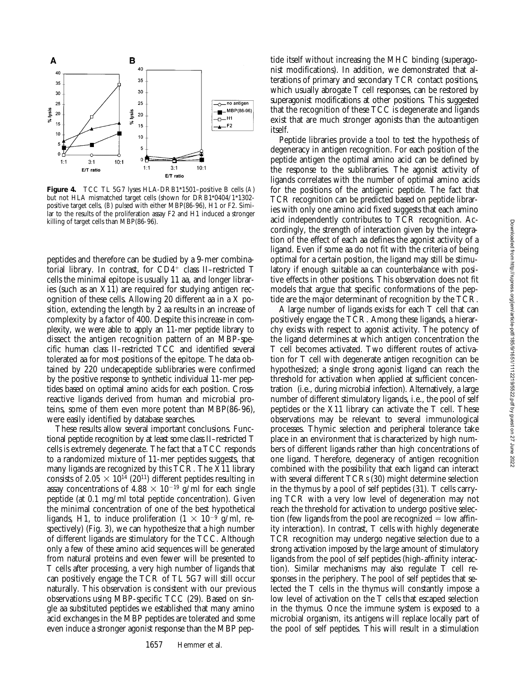

**Figure 4.** TCC TL 5G7 lyses HLA-DRB1\*1501–positive B cells (*A*) but not HLA mismatched target cells (shown for DRB1\*0404/1\*1302 positive target cells, (*B*) pulsed with either MBP(86-96), H1 or F2. Similar to the results of the proliferation assay F2 and H1 induced a stronger killing of target cells than MBP(86-96).

peptides and therefore can be studied by a 9-mer combinatorial library. In contrast, for  $CD4^+$  class II–restricted T cells the minimal epitope is usually 11 aa, and longer libraries (such as an X11) are required for studying antigen recognition of these cells. Allowing 20 different aa in a X position, extending the length by 2 aa results in an increase of complexity by a factor of 400. Despite this increase in complexity, we were able to apply an 11-mer peptide library to dissect the antigen recognition pattern of an MBP-specific human class II–restricted TCC and identified several tolerated aa for most positions of the epitope. The data obtained by 220 undecapeptide sublibraries were confirmed by the positive response to synthetic individual 11-mer peptides based on optimal amino acids for each position. Crossreactive ligands derived from human and microbial proteins, some of them even more potent than MBP(86-96), were easily identified by database searches.

These results allow several important conclusions. Functional peptide recognition by at least some class II–restricted T cells is extremely degenerate. The fact that a TCC responds to a randomized mixture of 11-mer peptides suggests, that many ligands are recognized by this TCR. The X11 library consists of 2.05  $\times$  10<sup>14</sup> (20<sup>11</sup>) different peptides resulting in assay concentrations of  $4.88 \times 10^{-19}$  g/ml for each single peptide (at 0.1 mg/ml total peptide concentration). Given the minimal concentration of one of the best hypothetical ligands, H1, to induce proliferation  $(1 \times 10^{-9} \text{ g/ml}, \text{ re-}$ spectively) (Fig. 3), we can hypothesize that a high number of different ligands are stimulatory for the TCC. Although only a few of these amino acid sequences will be generated from natural proteins and even fewer will be presented to T cells after processing, a very high number of ligands that can positively engage the TCR of TL 5G7 will still occur naturally. This observation is consistent with our previous observations using MBP-specific TCC (29). Based on single aa substituted peptides we established that many amino acid exchanges in the MBP peptides are tolerated and some even induce a stronger agonist response than the MBP peptide itself without increasing the MHC binding (superagonist modifications). In addition, we demonstrated that alterations of primary and secondary TCR contact positions, which usually abrogate T cell responses, can be restored by superagonist modifications at other positions. This suggested that the recognition of these TCC is degenerate and ligands exist that are much stronger agonists than the autoantigen itself.

Peptide libraries provide a tool to test the hypothesis of degeneracy in antigen recognition. For each position of the peptide antigen the optimal amino acid can be defined by the response to the sublibraries. The agonist activity of ligands correlates with the number of optimal amino acids for the positions of the antigenic peptide. The fact that TCR recognition can be predicted based on peptide libraries with only one amino acid fixed suggests that each amino acid independently contributes to TCR recognition. Accordingly, the strength of interaction given by the integration of the effect of each aa defines the agonist activity of a ligand. Even if some aa do not fit with the criteria of being optimal for a certain position, the ligand may still be stimulatory if enough suitable aa can counterbalance with positive effects in other positions. This observation does not fit models that argue that specific conformations of the peptide are the major determinant of recognition by the TCR.

A large number of ligands exists for each T cell that can positively engage the TCR. Among these ligands, a hierarchy exists with respect to agonist activity. The potency of the ligand determines at which antigen concentration the T cell becomes activated. Two different routes of activation for T cell with degenerate antigen recognition can be hypothesized; a single strong agonist ligand can reach the threshold for activation when applied at sufficient concentration (i.e., during microbial infection). Alternatively, a large number of different stimulatory ligands, i.e., the pool of self peptides or the X11 library can activate the T cell. These observations may be relevant to several immunological processes. Thymic selection and peripheral tolerance take place in an environment that is characterized by high numbers of different ligands rather than high concentrations of one ligand. Therefore, degeneracy of antigen recognition combined with the possibility that each ligand can interact with several different TCRs (30) might determine selection in the thymus by a pool of self peptides (31). T cells carrying TCR with a very low level of degeneration may not reach the threshold for activation to undergo positive selection (few ligands from the pool are recognized  $=$  low affinity interaction). In contrast, T cells with highly degenerate TCR recognition may undergo negative selection due to a strong activation imposed by the large amount of stimulatory ligands from the pool of self peptides (high-affinity interaction). Similar mechanisms may also regulate T cell responses in the periphery. The pool of self peptides that selected the T cells in the thymus will constantly impose a low level of activation on the T cells that escaped selection in the thymus. Once the immune system is exposed to a microbial organism, its antigens will replace locally part of the pool of self peptides. This will result in a stimulation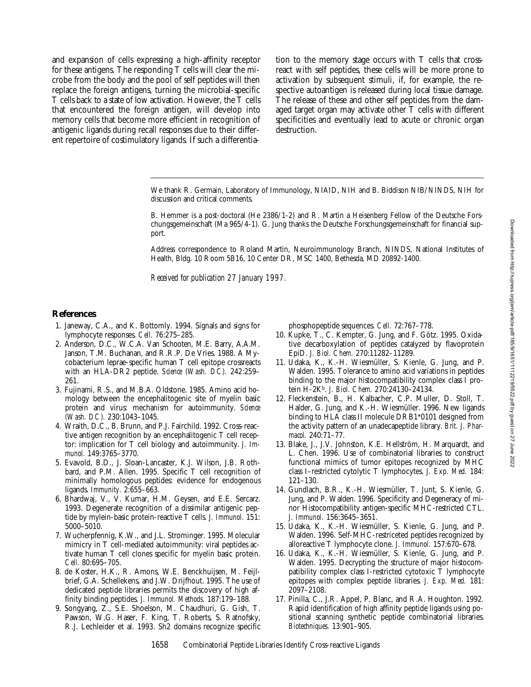and expansion of cells expressing a high-affinity receptor for these antigens. The responding T cells will clear the microbe from the body and the pool of self peptides will then replace the foreign antigens, turning the microbial-specific T cells back to a state of low activation. However, the T cells that encountered the foreign antigen, will develop into memory cells that become more efficient in recognition of antigenic ligands during recall responses due to their different repertoire of costimulatory ligands. If such a differentia-

tion to the memory stage occurs with T cells that crossreact with self peptides, these cells will be more prone to activation by subsequent stimuli, if, for example, the respective autoantigen is released during local tissue damage. The release of these and other self peptides from the damaged target organ may activate other T cells with different specificities and eventually lead to acute or chronic organ destruction.

We thank R. Germain, Laboratory of Immunology, NIAID, NIH and B. Biddison NIB/NINDS, NIH for discussion and critical comments.

B. Hemmer is a post-doctoral (He 2386/1-2) and R. Martin a Heisenberg Fellow of the Deutsche Forschungsgemeinschaft (Ma 965/4-1). G. Jung thanks the Deutsche Forschungsgemeinschaft for financial support.

Address correspondence to Roland Martin, Neuroimmunology Branch, NINDS, National Institutes of Health, Bldg. 10 Room 5B16, 10 Center DR, MSC 1400, Bethesda, MD 20892-1400.

*Received for publication 27 January 1997.*

## **References**

- 1. Janeway, C.A., and K. Bottomly. 1994. Signals and signs for lymphocyte responses. *Cell.* 76:275–285.
- 2. Anderson, D.C., W.C.A. Van Schooten, M.E. Barry, A.A.M. Janson, T.M. Buchanan, and R.R.P. De Vries. 1988. A Mycobacterium leprae-specific human T cell epitope crossreacts with an HLA-DR2 peptide. *Science (Wash. DC).* 242:259– 261.
- 3. Fujinami, R.S., and M.B.A. Oldstone. 1985. Amino acid homology between the encephalitogenic site of myelin basic protein and virus: mechanism for autoimmunity. *Science (Wash. DC).* 230:1043–1045.
- 4. Wraith, D.C., B. Brunn, and P.J. Fairchild. 1992. Cross-reactive antigen recognition by an encephalitogenic T cell receptor: implication for T cell biology and autoimmunity. *J. Immunol.* 149:3765–3770.
- 5. Evavold, B.D., J. Sloan-Lancaster, K.J. Wilson, J.B. Rothbard, and P.M. Allen. 1995. Specific T cell recognition of minimally homologous peptides: evidence for endogenous ligands. *Immunity.* 2:655–663.
- 6. Bhardwaj, V., V. Kumar, H.M. Geysen, and E.E. Sercarz. 1993. Degenerate recognition of a dissimilar antigenic peptide by mylein-basic protein-reactive T cells. *J. Immunol.* 151: 5000–5010.
- 7. Wucherpfennig, K.W., and J.L. Strominger. 1995. Molecular mimicry in T cell-mediated autoimmunity: viral peptides activate human T cell clones specific for myelin basic protein. *Cell.* 80:695–705.
- 8. de Koster, H.K., R. Amons, W.E. Benckhuijsen, M. Feijlbrief, G.A. Schellekens, and J.W. Drijfhout. 1995. The use of dedicated peptide libraries permits the discovery of high affinity binding peptides. *J. Immunol. Methods.* 187:179–188.
- 9. Songyang, Z., S.E. Shoelson, M. Chaudhuri, G. Gish, T. Pawson, W.G. Haser, F. King, T. Roberts, S. Ratnofsky, R.J. Lechleider et al. 1993. Sh2 domains recognize specific

phosphopeptide sequences. *Cell.* 72:767–778.

- 10. Kupke, T., C. Kempter, G. Jung, and F. Götz. 1995. Oxidative decarboxylation of peptides catalyzed by flavoprotein EpiD. *J. Biol. Chem.* 270:11282–11289.
- 11. Udaka, K., K.-H. Wiesmüller, S. Kienle, G. Jung, and P. Walden. 1995. Tolerance to amino acid variations in peptides binding to the major histocompatibility complex class I protein H-2Kb. *J. Biol. Chem.* 270:24130–24134.
- 12. Fleckenstein, B., H. Kalbacher, C.P. Muller, D. Stoll, T. Halder, G. Jung, and K.-H. Wiesmüller. 1996. New ligands binding to HLA class II molecule DRB1\*0101 designed from the activity pattern of an unadecapeptide library. *Brit. J. Pharmacol.* 240:71–77.
- 13. Blake, J., J.V. Johnston, K.E. Hellström, H. Marquardt, and L. Chen. 1996. Use of combinatorial libraries to construct functional mimics of tumor epitopes recognized by MHC class I–restricted cytolytic T lymphocytes. *J. Exp. Med.* 184: 121–130.
- 14. Gundlach, B.R., K.-H. Wiesmüller, T. Junt, S. Kienle, G. Jung, and P. Walden. 1996. Specificity and Degeneracy of minor Histocompatibility antigen-specific MHC-restricted CTL. *J. Immunol.* 156:3645–3651.
- 15. Udaka, K., K.-H. Wiesmüller, S. Kienle, G. Jung, and P. Walden. 1996. Self-MHC-restriceted peptides recognized by alloreactive T lymphocyte clone. *J. Immunol.* 157:670–678.
- 16. Udaka, K., K.-H. Wiesmüller, S. Kienle, G. Jung, and P. Walden. 1995. Decrypting the structure of major histocompatibility complex class I-restricted cytotoxic T lymphocyte epitopes with complex peptide libraries. *J. Exp. Med.* 181: 2097–2108.
- 17. Pinilla, C., J.R. Appel, P. Blanc, and R.A. Houghton. 1992. Rapid identification of high affinity peptide ligands using positional scanning synthetic peptide combinatorial libraries. *Biotechniques.* 13:901–905.